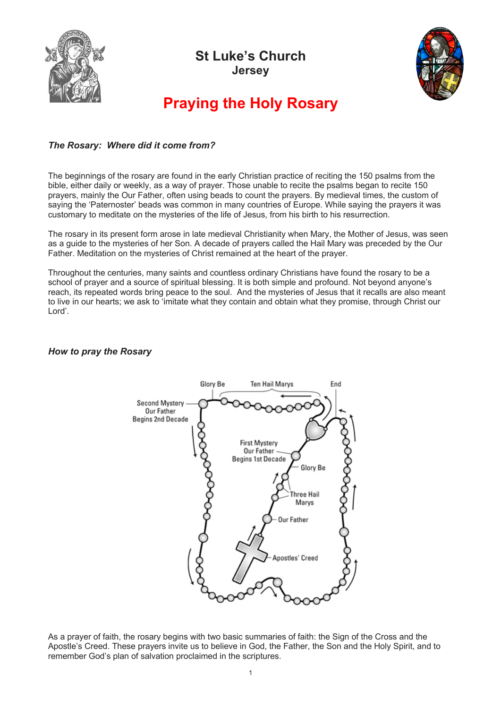

## **St Luke's Church Jersey**



# **Praying the Holy Rosary**

### *The Rosary: Where did it come from?*

The beginnings of the rosary are found in the early Christian practice of reciting the 150 psalms from the bible, either daily or weekly, as a way of prayer. Those unable to recite the psalms began to recite 150 prayers, mainly the Our Father, often using beads to count the prayers. By medieval times, the custom of saying the 'Paternoster' beads was common in many countries of Europe. While saying the prayers it was customary to meditate on the mysteries of the life of Jesus, from his birth to his resurrection.

The rosary in its present form arose in late medieval Christianity when Mary, the Mother of Jesus, was seen as a guide to the mysteries of her Son. A decade of prayers called the Hail Mary was preceded by the Our Father. Meditation on the mysteries of Christ remained at the heart of the prayer.

Throughout the centuries, many saints and countless ordinary Christians have found the rosary to be a school of prayer and a source of spiritual blessing. It is both simple and profound. Not beyond anyone's reach, its repeated words bring peace to the soul. And the mysteries of Jesus that it recalls are also meant to live in our hearts; we ask to 'imitate what they contain and obtain what they promise, through Christ our Lord'.

#### *How to pray the Rosary*



As a prayer of faith, the rosary begins with two basic summaries of faith: the Sign of the Cross and the Apostle's Creed. These prayers invite us to believe in God, the Father, the Son and the Holy Spirit, and to remember God's plan of salvation proclaimed in the scriptures.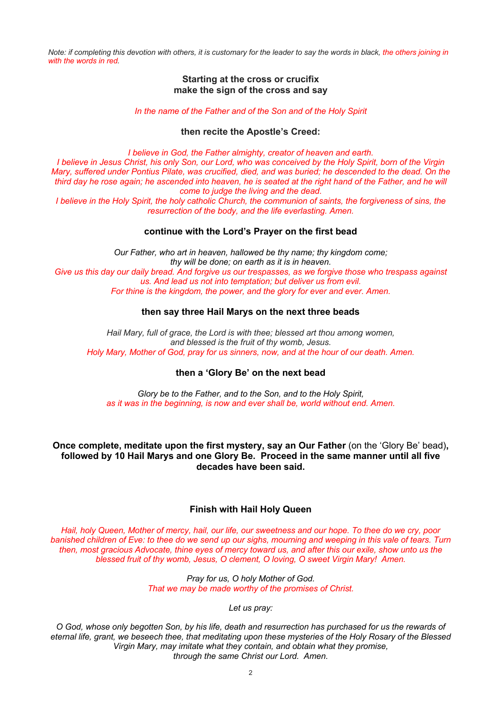*Note: if completing this devotion with others, it is customary for the leader to say the words in black, the others joining in with the words in red.*

#### **Starting at the cross or crucifix make the sign of the cross and say**

*In the name of the Father and of the Son and of the Holy Spirit*

#### **then recite the Apostle's Creed:**

*I believe in God, the Father almighty, creator of heaven and earth. I believe in Jesus Christ, his only Son, our Lord, who was conceived by the Holy Spirit, born of the Virgin Mary, suffered under Pontius Pilate, was crucified, died, and was buried; he descended to the dead. On the third day he rose again; he ascended into heaven, he is seated at the right hand of the Father, and he will come to judge the living and the dead.*

*I believe in the Holy Spirit, the holy catholic Church, the communion of saints, the forgiveness of sins, the resurrection of the body, and the life everlasting. Amen.*

#### **continue with the Lord's Prayer on the first bead**

*Our Father, who art in heaven, hallowed be thy name; thy kingdom come; thy will be done; on earth as it is in heaven. Give us this day our daily bread. And forgive us our trespasses, as we forgive those who trespass against us. And lead us not into temptation; but deliver us from evil. For thine is the kingdom, the power, and the glory for ever and ever. Amen.*

#### **then say three Hail Marys on the next three beads**

*Hail Mary, full of grace, the Lord is with thee; blessed art thou among women, and blessed is the fruit of thy womb, Jesus. Holy Mary, Mother of God, pray for us sinners, now, and at the hour of our death. Amen.*

#### **then a 'Glory Be' on the next bead**

*Glory be to the Father, and to the Son, and to the Holy Spirit, as it was in the beginning, is now and ever shall be, world without end. Amen.*

**Once complete, meditate upon the first mystery, say an Our Father** (on the 'Glory Be' bead)**, followed by 10 Hail Marys and one Glory Be. Proceed in the same manner until all five decades have been said.**

#### **Finish with Hail Holy Queen**

*Hail, holy Queen, Mother of mercy, hail, our life, our sweetness and our hope. To thee do we cry, poor banished children of Eve: to thee do we send up our sighs, mourning and weeping in this vale of tears. Turn then, most gracious Advocate, thine eyes of mercy toward us, and after this our exile, show unto us the blessed fruit of thy womb, Jesus, O clement, O loving, O sweet Virgin Mary! Amen.*

> *Pray for us, O holy Mother of God. That we may be made worthy of the promises of Christ.*

> > *Let us pray:*

*O God, whose only begotten Son, by his life, death and resurrection has purchased for us the rewards of eternal life, grant, we beseech thee, that meditating upon these mysteries of the Holy Rosary of the Blessed Virgin Mary, may imitate what they contain, and obtain what they promise, through the same Christ our Lord. Amen.*